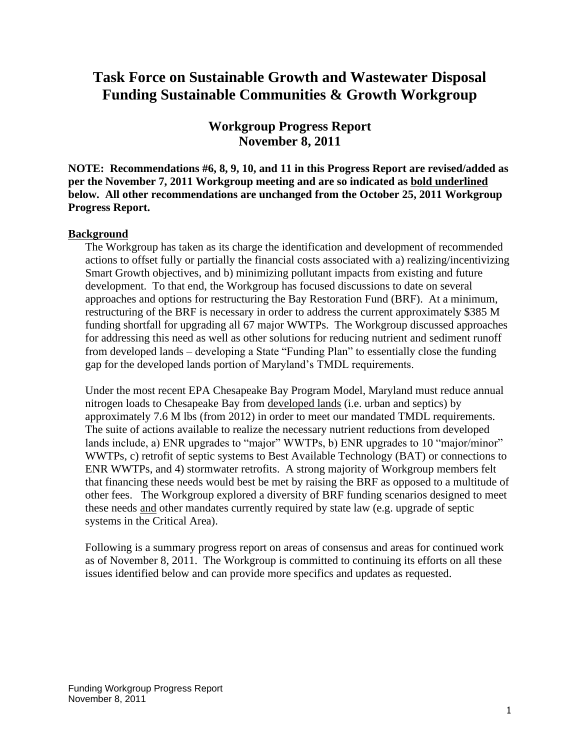# **Task Force on Sustainable Growth and Wastewater Disposal Funding Sustainable Communities & Growth Workgroup**

## **Workgroup Progress Report November 8, 2011**

**NOTE: Recommendations #6, 8, 9, 10, and 11 in this Progress Report are revised/added as per the November 7, 2011 Workgroup meeting and are so indicated as bold underlined below. All other recommendations are unchanged from the October 25, 2011 Workgroup Progress Report.** 

#### **Background**

The Workgroup has taken as its charge the identification and development of recommended actions to offset fully or partially the financial costs associated with a) realizing/incentivizing Smart Growth objectives, and b) minimizing pollutant impacts from existing and future development. To that end, the Workgroup has focused discussions to date on several approaches and options for restructuring the Bay Restoration Fund (BRF). At a minimum, restructuring of the BRF is necessary in order to address the current approximately \$385 M funding shortfall for upgrading all 67 major WWTPs. The Workgroup discussed approaches for addressing this need as well as other solutions for reducing nutrient and sediment runoff from developed lands – developing a State "Funding Plan" to essentially close the funding gap for the developed lands portion of Maryland's TMDL requirements.

 lands include, a) ENR upgrades to "major" WWTPs, b) ENR upgrades to 10 "major/minor" these needs and other mandates currently required by state law (e.g. upgrade of septic Under the most recent EPA Chesapeake Bay Program Model, Maryland must reduce annual nitrogen loads to Chesapeake Bay from developed lands (i.e. urban and septics) by approximately 7.6 M lbs (from 2012) in order to meet our mandated TMDL requirements. The suite of actions available to realize the necessary nutrient reductions from developed WWTPs, c) retrofit of septic systems to Best Available Technology (BAT) or connections to ENR WWTPs, and 4) stormwater retrofits. A strong majority of Workgroup members felt that financing these needs would best be met by raising the BRF as opposed to a multitude of other fees. The Workgroup explored a diversity of BRF funding scenarios designed to meet systems in the Critical Area).

 as of November 8, 2011. The Workgroup is committed to continuing its efforts on all these issues identified below and can provide more specifics and updates as requested. Following is a summary progress report on areas of consensus and areas for continued work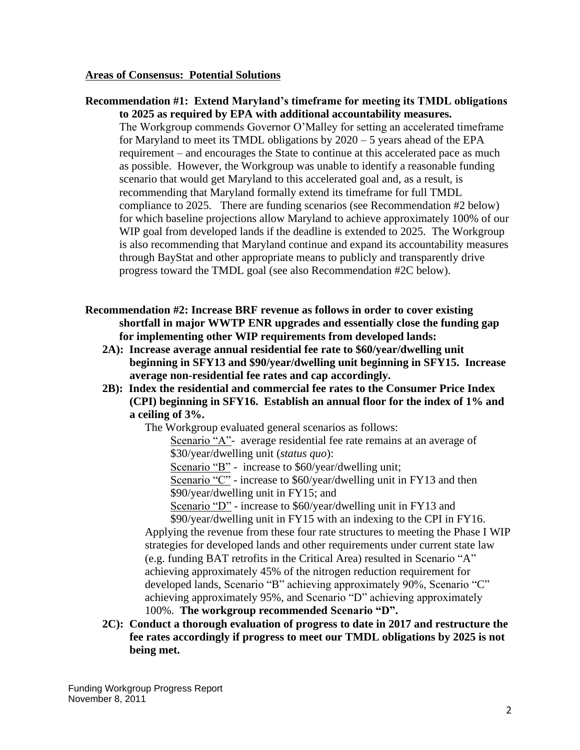#### **Areas of Consensus: Potential Solutions**

#### **Recommendation #1: Extend Maryland's timeframe for meeting its TMDL obligations to 2025 as required by EPA with additional accountability measures.**

 compliance to 2025. There are funding scenarios (see Recommendation #2 below) progress toward the TMDL goal (see also Recommendation #2C below). The Workgroup commends Governor O'Malley for setting an accelerated timeframe for Maryland to meet its TMDL obligations by 2020 – 5 years ahead of the EPA requirement – and encourages the State to continue at this accelerated pace as much as possible. However, the Workgroup was unable to identify a reasonable funding scenario that would get Maryland to this accelerated goal and, as a result, is recommending that Maryland formally extend its timeframe for full TMDL for which baseline projections allow Maryland to achieve approximately 100% of our WIP goal from developed lands if the deadline is extended to 2025. The Workgroup is also recommending that Maryland continue and expand its accountability measures through BayStat and other appropriate means to publicly and transparently drive

 **for implementing other WIP requirements from developed lands: Recommendation #2: Increase BRF revenue as follows in order to cover existing shortfall in major WWTP ENR upgrades and essentially close the funding gap** 

- **2A): Increase average annual residential fee rate to \$60/year/dwelling unit average non-residential fee rates and cap accordingly. beginning in SFY13 and \$90/year/dwelling unit beginning in SFY15. Increase**
- **2B): Index the residential and commercial fee rates to the Consumer Price Index (CPI) beginning in SFY16. Establish an annual floor for the index of 1% and a ceiling of 3%.**

The Workgroup evaluated general scenarios as follows:

Scenario "A"- average residential fee rate remains at an average of \$30/year/dwelling unit (*status quo*):

Scenario "B" - increase to \$60/year/dwelling unit;

Scenario "C" - increase to \$60/year/dwelling unit in FY13 and then \$90/year/dwelling unit in FY15; and

Scenario "D" - increase to \$60/year/dwelling unit in FY13 and \$90/year/dwelling unit in FY15 with an indexing to the CPI in FY16. Applying the revenue from these four rate structures to meeting the Phase I WIP strategies for developed lands and other requirements under current state law (e.g. funding BAT retrofits in the Critical Area) resulted in Scenario "A" achieving approximately 45% of the nitrogen reduction requirement for developed lands, Scenario "B" achieving approximately 90%, Scenario "C" achieving approximately 95%, and Scenario "D" achieving approximately 100%. **The workgroup recommended Scenario "D".** 

**2C): Conduct a thorough evaluation of progress to date in 2017 and restructure the fee rates accordingly if progress to meet our TMDL obligations by 2025 is not being met.**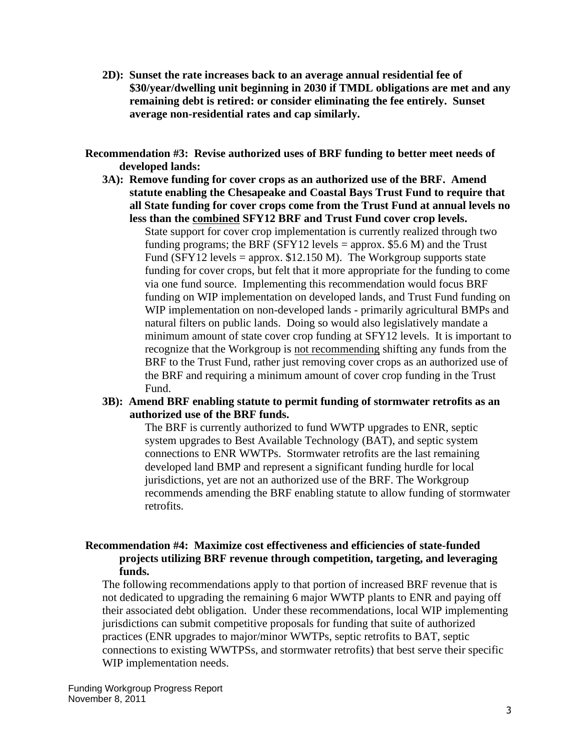**remaining debt is retired: or consider eliminating the fee entirely. Sunset average non-residential rates and cap similarly. 2D): Sunset the rate increases back to an average annual residential fee of \$30/year/dwelling unit beginning in 2030 if TMDL obligations are met and any** 

**Recommendation #3: Revise authorized uses of BRF funding to better meet needs of developed lands:** 

**3A): Remove funding for cover crops as an authorized use of the BRF. Amend statute enabling the Chesapeake and Coastal Bays Trust Fund to require that all State funding for cover crops come from the Trust Fund at annual levels no less than the combined SFY12 BRF and Trust Fund cover crop levels.** 

 WIP implementation on non-developed lands - primarily agricultural BMPs and State support for cover crop implementation is currently realized through two funding programs; the BRF (SFY12 levels = approx.  $$5.6$  M) and the Trust Fund (SFY12 levels = approx.  $$12.150$  M). The Workgroup supports state funding for cover crops, but felt that it more appropriate for the funding to come via one fund source. Implementing this recommendation would focus BRF funding on WIP implementation on developed lands, and Trust Fund funding on natural filters on public lands. Doing so would also legislatively mandate a minimum amount of state cover crop funding at SFY12 levels. It is important to recognize that the Workgroup is not recommending shifting any funds from the BRF to the Trust Fund, rather just removing cover crops as an authorized use of the BRF and requiring a minimum amount of cover crop funding in the Trust Fund.

#### **3B): Amend BRF enabling statute to permit funding of stormwater retrofits as an authorized use of the BRF funds.**

The BRF is currently authorized to fund WWTP upgrades to ENR, septic system upgrades to Best Available Technology (BAT), and septic system connections to ENR WWTPs. Stormwater retrofits are the last remaining developed land BMP and represent a significant funding hurdle for local jurisdictions, yet are not an authorized use of the BRF. The Workgroup recommends amending the BRF enabling statute to allow funding of stormwater retrofits.

#### **Recommendation #4: Maximize cost effectiveness and efficiencies of state-funded projects utilizing BRF revenue through competition, targeting, and leveraging funds.**

The following recommendations apply to that portion of increased BRF revenue that is not dedicated to upgrading the remaining 6 major WWTP plants to ENR and paying off their associated debt obligation. Under these recommendations, local WIP implementing jurisdictions can submit competitive proposals for funding that suite of authorized practices (ENR upgrades to major/minor WWTPs, septic retrofits to BAT, septic connections to existing WWTPSs, and stormwater retrofits) that best serve their specific WIP implementation needs.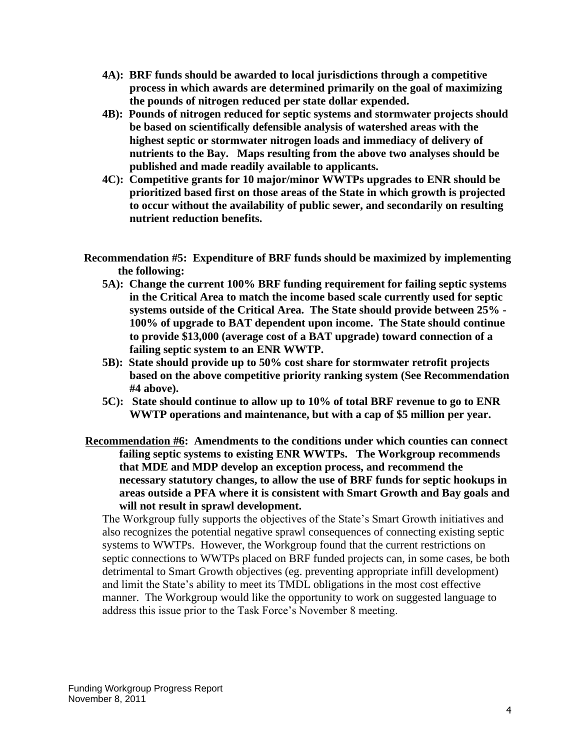- **4A): BRF funds should be awarded to local jurisdictions through a competitive process in which awards are determined primarily on the goal of maximizing the pounds of nitrogen reduced per state dollar expended.**
- **nutrients to the Bay. Maps resulting from the above two analyses should be 4B): Pounds of nitrogen reduced for septic systems and stormwater projects should be based on scientifically defensible analysis of watershed areas with the highest septic or stormwater nitrogen loads and immediacy of delivery of published and made readily available to applicants.**
- **4C): Competitive grants for 10 major/minor WWTPs upgrades to ENR should be prioritized based first on those areas of the State in which growth is projected to occur without the availability of public sewer, and secondarily on resulting nutrient reduction benefits.**
- **Recommendation #5: Expenditure of BRF funds should be maximized by implementing the following:** 
	- **5A): Change the current 100% BRF funding requirement for failing septic systems systems outside of the Critical Area. The State should provide between 25% in the Critical Area to match the income based scale currently used for septic 100% of upgrade to BAT dependent upon income. The State should continue to provide \$13,000 (average cost of a BAT upgrade) toward connection of a failing septic system to an ENR WWTP.**
	- **5B): State should provide up to 50% cost share for stormwater retrofit projects based on the above competitive priority ranking system (See Recommendation #4 above).**
	- **5C): State should continue to allow up to 10% of total BRF revenue to go to ENR WWTP operations and maintenance, but with a cap of \$5 million per year.**
- **failing septic systems to existing ENR WWTPs. The Workgroup recommends Recommendation #6: Amendments to the conditions under which counties can connect that MDE and MDP develop an exception process, and recommend the necessary statutory changes, to allow the use of BRF funds for septic hookups in areas outside a PFA where it is consistent with Smart Growth and Bay goals and will not result in sprawl development.**

The Workgroup fully supports the objectives of the State's Smart Growth initiatives and also recognizes the potential negative sprawl consequences of connecting existing septic systems to WWTPs. However, the Workgroup found that the current restrictions on septic connections to WWTPs placed on BRF funded projects can, in some cases, be both detrimental to Smart Growth objectives (eg. preventing appropriate infill development) and limit the State's ability to meet its TMDL obligations in the most cost effective manner. The Workgroup would like the opportunity to work on suggested language to address this issue prior to the Task Force's November 8 meeting.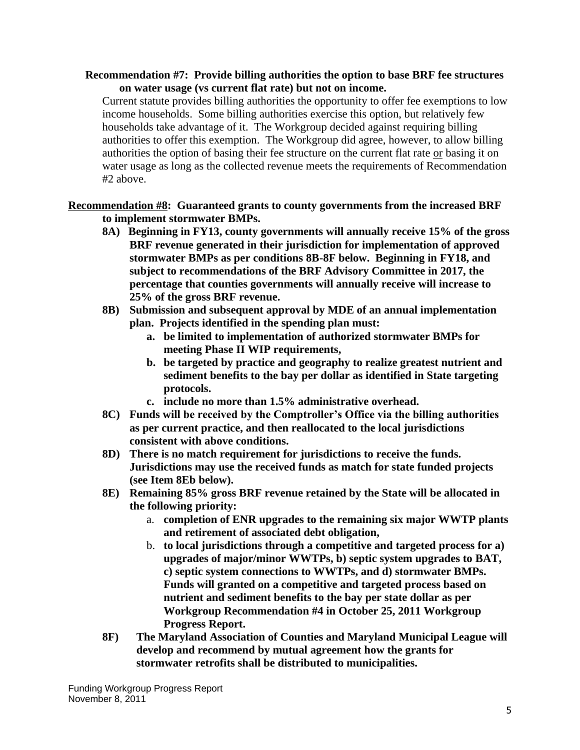#### **Recommendation #7: Provide billing authorities the option to base BRF fee structures on water usage (vs current flat rate) but not on income.**

Current statute provides billing authorities the opportunity to offer fee exemptions to low income households. Some billing authorities exercise this option, but relatively few households take advantage of it. The Workgroup decided against requiring billing authorities to offer this exemption. The Workgroup did agree, however, to allow billing authorities the option of basing their fee structure on the current flat rate or basing it on water usage as long as the collected revenue meets the requirements of Recommendation #2 above.

### **Recommendation #8: Guaranteed grants to county governments from the increased BRF to implement stormwater BMPs.**

- **8A) Beginning in FY13, county governments will annually receive 15% of the gross subject to recommendations of the BRF Advisory Committee in 2017, the BRF revenue generated in their jurisdiction for implementation of approved stormwater BMPs as per conditions 8B-8F below. Beginning in FY18, and percentage that counties governments will annually receive will increase to 25% of the gross BRF revenue.**
- **plan. Projects identified in the spending plan must: 8B) Submission and subsequent approval by MDE of an annual implementation** 
	- **a. be limited to implementation of authorized stormwater BMPs for meeting Phase II WIP requirements,**
	- **b. be targeted by practice and geography to realize greatest nutrient and sediment benefits to the bay per dollar as identified in State targeting protocols.**
	- **c. include no more than 1.5% administrative overhead.**
- **8C) Funds will be received by the Comptroller's Office via the billing authorities as per current practice, and then reallocated to the local jurisdictions consistent with above conditions.**
- **8D) There is no match requirement for jurisdictions to receive the funds. Jurisdictions may use the received funds as match for state funded projects (see Item 8Eb below).**
- **8E) Remaining 85% gross BRF revenue retained by the State will be allocated in the following priority:** 
	- a. **completion of ENR upgrades to the remaining six major WWTP plants and retirement of associated debt obligation,**
	- b. **to local jurisdictions through a competitive and targeted process for a) upgrades of major/minor WWTPs, b) septic system upgrades to BAT, c) septic system connections to WWTPs, and d) stormwater BMPs. Funds will granted on a competitive and targeted process based on nutrient and sediment benefits to the bay per state dollar as per Workgroup Recommendation #4 in October 25, 2011 Workgroup Progress Report.**
- 8F) **8F) The Maryland Association of Counties and Maryland Municipal League will develop and recommend by mutual agreement how the grants for stormwater retrofits shall be distributed to municipalities.**